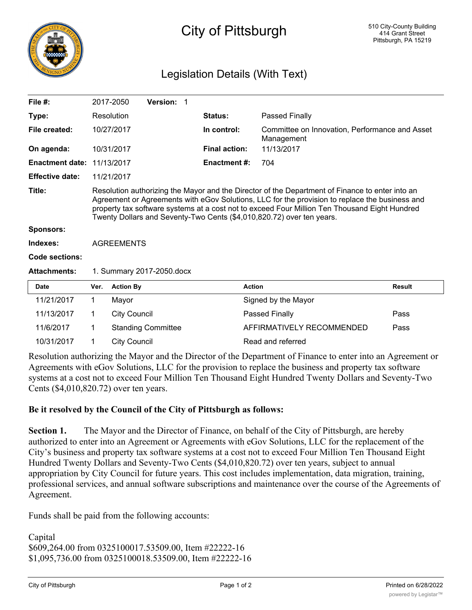

## Legislation Details (With Text)

| File $#$ :                  |                   | 2017-2050                                      | Version: 1                |  |                      |                                                                                                                                                                                                                                                                                                                                                                             |               |
|-----------------------------|-------------------|------------------------------------------------|---------------------------|--|----------------------|-----------------------------------------------------------------------------------------------------------------------------------------------------------------------------------------------------------------------------------------------------------------------------------------------------------------------------------------------------------------------------|---------------|
| Type:                       |                   | Resolution                                     |                           |  | Status:              | Passed Finally                                                                                                                                                                                                                                                                                                                                                              |               |
| File created:               |                   | 10/27/2017                                     |                           |  | In control:          | Committee on Innovation, Performance and Asset<br>Management                                                                                                                                                                                                                                                                                                                |               |
| On agenda:                  |                   | 10/31/2017                                     |                           |  | <b>Final action:</b> | 11/13/2017                                                                                                                                                                                                                                                                                                                                                                  |               |
| <b>Enactment date:</b>      |                   | 11/13/2017                                     |                           |  | <b>Enactment #:</b>  | 704                                                                                                                                                                                                                                                                                                                                                                         |               |
| <b>Effective date:</b>      |                   | 11/21/2017                                     |                           |  |                      |                                                                                                                                                                                                                                                                                                                                                                             |               |
| Title:                      |                   |                                                |                           |  |                      | Resolution authorizing the Mayor and the Director of the Department of Finance to enter into an<br>Agreement or Agreements with eGov Solutions, LLC for the provision to replace the business and<br>property tax software systems at a cost not to exceed Four Million Ten Thousand Eight Hundred<br>Twenty Dollars and Seventy-Two Cents (\$4,010,820.72) over ten years. |               |
| <b>Sponsors:</b>            |                   |                                                |                           |  |                      |                                                                                                                                                                                                                                                                                                                                                                             |               |
| Indexes:                    | <b>AGREEMENTS</b> |                                                |                           |  |                      |                                                                                                                                                                                                                                                                                                                                                                             |               |
| <b>Code sections:</b>       |                   |                                                |                           |  |                      |                                                                                                                                                                                                                                                                                                                                                                             |               |
| <b>Attachments:</b>         |                   | 1. Summary 2017-2050.docx                      |                           |  |                      |                                                                                                                                                                                                                                                                                                                                                                             |               |
| <b>Date</b>                 | Ver.              | <b>Action By</b>                               |                           |  |                      | <b>Action</b>                                                                                                                                                                                                                                                                                                                                                               | <b>Result</b> |
| 11/21/2017                  | 1                 | Mayor                                          |                           |  |                      | Signed by the Mayor                                                                                                                                                                                                                                                                                                                                                         |               |
| 11/13/2017                  | 1.                | <b>City Council</b>                            |                           |  |                      | Passed Finally                                                                                                                                                                                                                                                                                                                                                              | Pass          |
| 11/6/2017                   | 1                 |                                                | <b>Standing Committee</b> |  |                      | AFFIRMATIVELY RECOMMENDED                                                                                                                                                                                                                                                                                                                                                   | Pass          |
| 10/31/2017                  | 1                 | <b>City Council</b>                            |                           |  |                      | Read and referred                                                                                                                                                                                                                                                                                                                                                           |               |
| $\sim$ 1 $\sim$<br>$\sim$ 1 |                   | $\mathbf{r}$ and $\mathbf{r}$ and $\mathbf{r}$ |                           |  |                      | $c_A$ $\mathbf{R}$ $c_B$<br>the contract of the contract of the contract of the contract of the contract of the contract of the contract of                                                                                                                                                                                                                                 |               |

Resolution authorizing the Mayor and the Director of the Department of Finance to enter into an Agreement or Agreements with eGov Solutions, LLC for the provision to replace the business and property tax software systems at a cost not to exceed Four Million Ten Thousand Eight Hundred Twenty Dollars and Seventy-Two Cents (\$4,010,820.72) over ten years.

## **Be it resolved by the Council of the City of Pittsburgh as follows:**

**Section 1.** The Mayor and the Director of Finance, on behalf of the City of Pittsburgh, are hereby authorized to enter into an Agreement or Agreements with eGov Solutions, LLC for the replacement of the City's business and property tax software systems at a cost not to exceed Four Million Ten Thousand Eight Hundred Twenty Dollars and Seventy-Two Cents (\$4,010,820.72) over ten years, subject to annual appropriation by City Council for future years. This cost includes implementation, data migration, training, professional services, and annual software subscriptions and maintenance over the course of the Agreements of Agreement.

Funds shall be paid from the following accounts:

Capital \$609,264.00 from 0325100017.53509.00, Item #22222-16 \$1,095,736.00 from 0325100018.53509.00, Item #22222-16